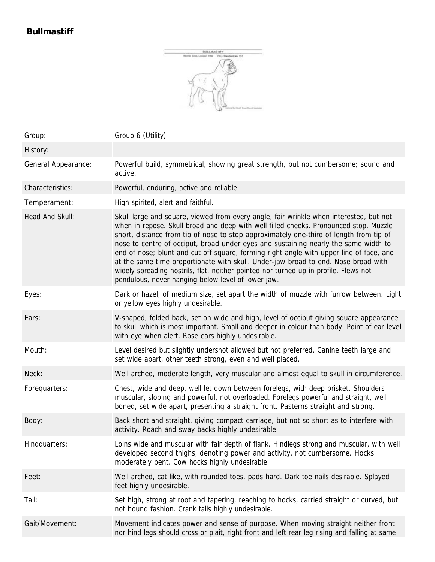

| Group:              | Group 6 (Utility)                                                                                                                                                                                                                                                                                                                                                                                                                                                                                                                                                                                                                                                                               |
|---------------------|-------------------------------------------------------------------------------------------------------------------------------------------------------------------------------------------------------------------------------------------------------------------------------------------------------------------------------------------------------------------------------------------------------------------------------------------------------------------------------------------------------------------------------------------------------------------------------------------------------------------------------------------------------------------------------------------------|
| History:            |                                                                                                                                                                                                                                                                                                                                                                                                                                                                                                                                                                                                                                                                                                 |
| General Appearance: | Powerful build, symmetrical, showing great strength, but not cumbersome; sound and<br>active.                                                                                                                                                                                                                                                                                                                                                                                                                                                                                                                                                                                                   |
| Characteristics:    | Powerful, enduring, active and reliable.                                                                                                                                                                                                                                                                                                                                                                                                                                                                                                                                                                                                                                                        |
| Temperament:        | High spirited, alert and faithful.                                                                                                                                                                                                                                                                                                                                                                                                                                                                                                                                                                                                                                                              |
| Head And Skull:     | Skull large and square, viewed from every angle, fair wrinkle when interested, but not<br>when in repose. Skull broad and deep with well filled cheeks. Pronounced stop. Muzzle<br>short, distance from tip of nose to stop approximately one-third of length from tip of<br>nose to centre of occiput, broad under eyes and sustaining nearly the same width to<br>end of nose; blunt and cut off square, forming right angle with upper line of face, and<br>at the same time proportionate with skull. Under-jaw broad to end. Nose broad with<br>widely spreading nostrils, flat, neither pointed nor turned up in profile. Flews not<br>pendulous, never hanging below level of lower jaw. |
| Eyes:               | Dark or hazel, of medium size, set apart the width of muzzle with furrow between. Light<br>or yellow eyes highly undesirable.                                                                                                                                                                                                                                                                                                                                                                                                                                                                                                                                                                   |
| Ears:               | V-shaped, folded back, set on wide and high, level of occiput giving square appearance<br>to skull which is most important. Small and deeper in colour than body. Point of ear level<br>with eye when alert. Rose ears highly undesirable.                                                                                                                                                                                                                                                                                                                                                                                                                                                      |
| Mouth:              | Level desired but slightly undershot allowed but not preferred. Canine teeth large and<br>set wide apart, other teeth strong, even and well placed.                                                                                                                                                                                                                                                                                                                                                                                                                                                                                                                                             |
| Neck:               | Well arched, moderate length, very muscular and almost equal to skull in circumference.                                                                                                                                                                                                                                                                                                                                                                                                                                                                                                                                                                                                         |
| Forequarters:       | Chest, wide and deep, well let down between forelegs, with deep brisket. Shoulders<br>muscular, sloping and powerful, not overloaded. Forelegs powerful and straight, well<br>boned, set wide apart, presenting a straight front. Pasterns straight and strong.                                                                                                                                                                                                                                                                                                                                                                                                                                 |
| Body:               | Back short and straight, giving compact carriage, but not so short as to interfere with<br>activity. Roach and sway backs highly undesirable.                                                                                                                                                                                                                                                                                                                                                                                                                                                                                                                                                   |
| Hindquarters:       | Loins wide and muscular with fair depth of flank. Hindlegs strong and muscular, with well<br>developed second thighs, denoting power and activity, not cumbersome. Hocks<br>moderately bent. Cow hocks highly undesirable.                                                                                                                                                                                                                                                                                                                                                                                                                                                                      |
| Feet:               | Well arched, cat like, with rounded toes, pads hard. Dark toe nails desirable. Splayed<br>feet highly undesirable.                                                                                                                                                                                                                                                                                                                                                                                                                                                                                                                                                                              |
| Tail:               | Set high, strong at root and tapering, reaching to hocks, carried straight or curved, but<br>not hound fashion. Crank tails highly undesirable.                                                                                                                                                                                                                                                                                                                                                                                                                                                                                                                                                 |
| Gait/Movement:      | Movement indicates power and sense of purpose. When moving straight neither front<br>nor hind legs should cross or plait, right front and left rear leg rising and falling at same                                                                                                                                                                                                                                                                                                                                                                                                                                                                                                              |